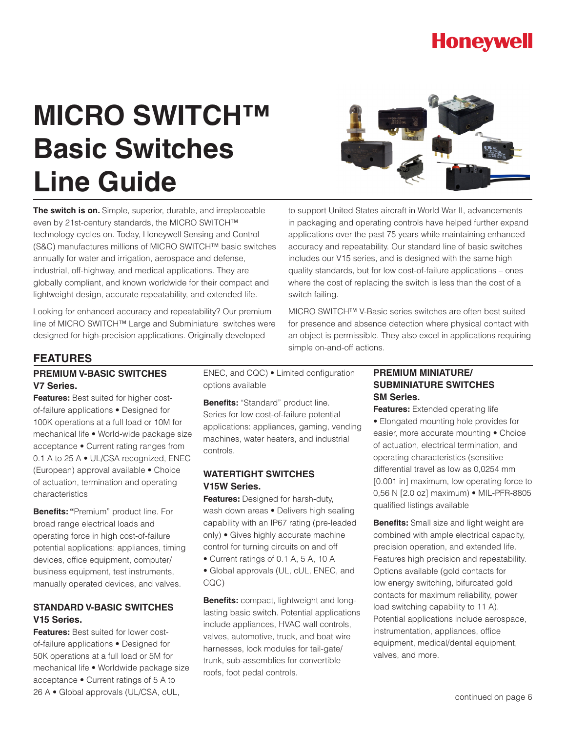## **Honeywell**

# **MICRO SWITCH™ Basic Switches Line Guide**



**The switch is on.** Simple, superior, durable, and irreplaceable even by 21st-century standards, the MICRO SWITCH™ technology cycles on. Today, Honeywell Sensing and Control (S&C) manufactures millions of MICRO SWITCH™ basic switches annually for water and irrigation, aerospace and defense, industrial, off-highway, and medical applications. They are globally compliant, and known worldwide for their compact and lightweight design, accurate repeatability, and extended life.

Looking for enhanced accuracy and repeatability? Our premium line of MICRO SWITCH™ Large and Subminiature switches were designed for high-precision applications. Originally developed

to support United States aircraft in World War II, advancements in packaging and operating controls have helped further expand applications over the past 75 years while maintaining enhanced accuracy and repeatability. Our standard line of basic switches includes our V15 series, and is designed with the same high quality standards, but for low cost-of-failure applications – ones where the cost of replacing the switch is less than the cost of a switch failing.

MICRO SWITCH™ V-Basic series switches are often best suited for presence and absence detection where physical contact with an object is permissible. They also excel in applications requiring simple on-and-off actions.

#### **FEATURES**

#### **PREMIUM V-BASIC SWITCHES V7 Series.**

**Features:** Best suited for higher costof-failure applications • Designed for 100K operations at a full load or 10M for mechanical life • World-wide package size acceptance • Current rating ranges from 0.1 A to 25 A • UL/CSA recognized, ENEC (European) approval available • Choice of actuation, termination and operating characteristics

**Benefits: "**Premium" product line. For broad range electrical loads and operating force in high cost-of-failure potential applications: appliances, timing devices, office equipment, computer/ business equipment, test instruments, manually operated devices, and valves.

#### **STANDARD V-BASIC SWITCHES V15 Series.**

**Features:** Best suited for lower costof-failure applications • Designed for 50K operations at a full load or 5M for mechanical life • Worldwide package size acceptance • Current ratings of 5 A to 26 A • Global approvals (UL/CSA, cUL,

ENEC, and CQC) • Limited configuration options available

**Benefits:** "Standard" product line. Series for low cost-of-failure potential applications: appliances, gaming, vending machines, water heaters, and industrial controls.

#### **WATERTIGHT SWITCHES V15W Series.**

**Features:** Designed for harsh-duty, wash down areas • Delivers high sealing capability with an IP67 rating (pre-leaded only) • Gives highly accurate machine control for turning circuits on and off

• Current ratings of 0.1 A, 5 A, 10 A

• Global approvals (UL, cUL, ENEC, and CQC)

**Benefits:** compact, lightweight and longlasting basic switch. Potential applications include appliances, HVAC wall controls, valves, automotive, truck, and boat wire harnesses, lock modules for tail-gate/ trunk, sub-assemblies for convertible roofs, foot pedal controls.

#### **PREMIUM MINIATURE/ SUBMINIATURE SWITCHES SM Series.**

**Features:** Extended operating life

• Elongated mounting hole provides for easier, more accurate mounting • Choice of actuation, electrical termination, and operating characteristics (sensitive differential travel as low as 0,0254 mm [0.001 in] maximum, low operating force to 0,56 N [2.0 oz] maximum) • MIL-PFR-8805 qualified listings available

**Benefits:** Small size and light weight are combined with ample electrical capacity, precision operation, and extended life. Features high precision and repeatability. Options available (gold contacts for low energy switching, bifurcated gold contacts for maximum reliability, power load switching capability to 11 A). Potential applications include aerospace, instrumentation, appliances, office equipment, medical/dental equipment, valves, and more.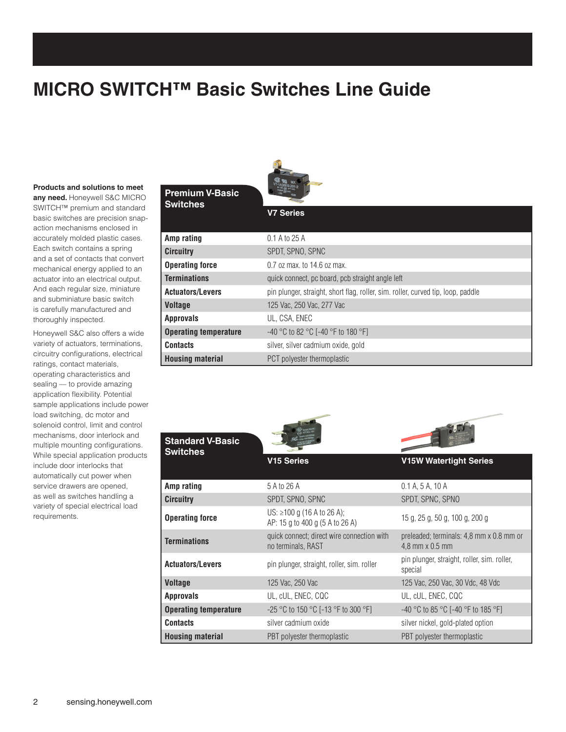## **MICRO SWITCH™ Basic Switches Line Guide**

#### **Products and solutions to meet**

**any need.** Honeywell S&C MICRO SWITCH™ premium and standard basic switches are precision snapaction mechanisms enclosed in accurately molded plastic cases. Each switch contains a spring and a set of contacts that convert mechanical energy applied to an actuator into an electrical output. And each regular size, miniature and subminiature basic switch is carefully manufactured and thoroughly inspected.

Honeywell S&C also offers a wide variety of actuators, terminations, circuitry configurations, electrical ratings, contact materials, operating characteristics and sealing — to provide amazing application flexibility. Potential sample applications include power load switching, dc motor and solenoid control, limit and control mechanisms, door interlock and multiple mounting configurations. While special application products include door interlocks that automatically cut power when service drawers are opened, as well as switches handling a variety of special electrical load requirements.



**V7 Series**

#### **Premium V-Basic Switc**

| hes |  |  |
|-----|--|--|
|     |  |  |

| Amp rating                   | $0.1$ A to 25 A                                                                  |
|------------------------------|----------------------------------------------------------------------------------|
| <b>Circuitry</b>             | SPDT, SPNO, SPNC                                                                 |
| <b>Operating force</b>       | $0.7$ oz max, to 14.6 oz max.                                                    |
| <b>Terminations</b>          | quick connect, pc board, pcb straight angle left                                 |
| <b>Actuators/Levers</b>      | pin plunger, straight, short flag, roller, sim. roller, curved tip, loop, paddle |
| <b>Voltage</b>               | 125 Vac, 250 Vac, 277 Vac                                                        |
| <b>Approvals</b>             | UL, CSA, ENEC                                                                    |
| <b>Operating temperature</b> | $-40$ °C to 82 °C [-40 °F to 180 °F]                                             |
| <b>Contacts</b>              | silver, silver cadmium oxide, gold                                               |
| <b>Housing material</b>      | PCT polyester thermoplastic                                                      |



| Amp rating                   | 5 A to 26 A                                                      | 0.1 A, 5 A, 10 A                                            |
|------------------------------|------------------------------------------------------------------|-------------------------------------------------------------|
| <b>Circuitry</b>             | SPDT, SPNO, SPNC                                                 | SPDT, SPNC, SPNO                                            |
| <b>Operating force</b>       | US: ≥100 g (16 A to 26 A);<br>AP: 15 g to 400 g (5 A to 26 A)    | 15 g, 25 g, 50 g, 100 g, 200 g                              |
| <b>Terminations</b>          | quick connect; direct wire connection with<br>no terminals, RAST | preleaded; terminals: 4,8 mm x 0.8 mm or<br>4,8 mm x 0.5 mm |
| <b>Actuators/Levers</b>      | pin plunger, straight, roller, sim. roller                       | pin plunger, straight, roller, sim. roller,<br>special      |
| <b>Voltage</b>               | 125 Vac. 250 Vac                                                 | 125 Vac. 250 Vac. 30 Vdc. 48 Vdc.                           |
| <b>Approvals</b>             | UL. cUL. ENEC. CQC                                               | UL. cUL. ENEC. CQC                                          |
| <b>Operating temperature</b> | $-25$ °C to 150 °C [-13 °F to 300 °F]                            | $-40$ °C to 85 °C [-40 °F to 185 °F]                        |
| <b>Contacts</b>              | silver cadmium oxide                                             | silver nickel, gold-plated option                           |
| <b>Housing material</b>      | PBT polyester thermoplastic                                      | PBT polyester thermoplastic                                 |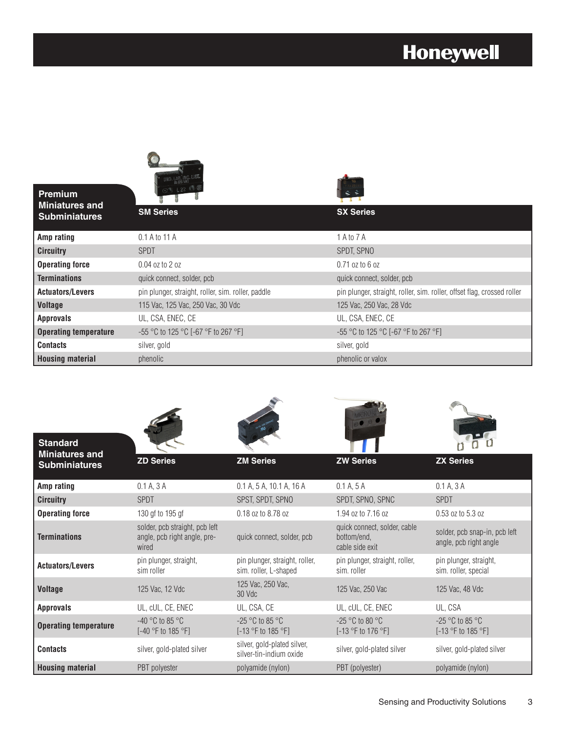## **Honeywell**

| Premium<br><b>Miniatures and</b> |                                                    |                                                                         |
|----------------------------------|----------------------------------------------------|-------------------------------------------------------------------------|
| <b>Subminiatures</b>             | <b>SM Series</b>                                   | <b>SX Series</b>                                                        |
| Amp rating                       | 0.1 A to 11 A                                      | 1 A to 7 A                                                              |
| <b>Circuitry</b>                 | <b>SPDT</b>                                        | SPDT, SPNO                                                              |
| <b>Operating force</b>           | $0.04$ oz to 2 oz                                  | $0.71$ oz to 6 oz                                                       |
| <b>Terminations</b>              | quick connect, solder, pcb                         | quick connect, solder, pcb                                              |
| <b>Actuators/Levers</b>          | pin plunger, straight, roller, sim. roller, paddle | pin plunger, straight, roller, sim. roller, offset flag, crossed roller |
| <b>Voltage</b>                   | 115 Vac, 125 Vac, 250 Vac, 30 Vdc                  | 125 Vac, 250 Vac, 28 Vdc                                                |
| <b>Approvals</b>                 | UL, CSA, ENEC, CE                                  | UL, CSA, ENEC, CE                                                       |
| <b>Operating temperature</b>     | $-55$ °C to 125 °C [-67 °F to 267 °F]              | $-55$ °C to 125 °C [-67 °F to 267 °F]                                   |
| <b>Contacts</b>                  | silver, gold                                       | silver, gold                                                            |
| <b>Housing material</b>          | phenolic                                           | phenolic or valox                                                       |

| <b>Standard</b><br><b>Miniatures and</b> |                                                                         |                                                         |                                                                |                                                         |
|------------------------------------------|-------------------------------------------------------------------------|---------------------------------------------------------|----------------------------------------------------------------|---------------------------------------------------------|
| <b>Subminiatures</b>                     | <b>ZD Series</b>                                                        | <b>ZM Series</b>                                        | <b>ZW Series</b>                                               | <b>ZX Series</b>                                        |
| Amp rating                               | 0.1 A, 3 A                                                              | 0.1 A, 5 A, 10.1 A, 16 A                                | 0.1 A. 5 A                                                     | 0.1 A, 3 A                                              |
| <b>Circuitry</b>                         | <b>SPDT</b>                                                             | SPST, SPDT, SPNO                                        | SPDT, SPNO, SPNC                                               | <b>SPDT</b>                                             |
| <b>Operating force</b>                   | 130 gf to 195 gf                                                        | 0.18 oz to 8.78 oz                                      | 1.94 oz to 7.16 oz                                             | 0.53 oz to 5.3 oz                                       |
| <b>Terminations</b>                      | solder, pcb straight, pcb left<br>angle, pcb right angle, pre-<br>wired | quick connect, solder, pcb                              | quick connect, solder, cable<br>bottom/end.<br>cable side exit | solder, pcb snap-in, pcb left<br>angle, pcb right angle |
| <b>Actuators/Levers</b>                  | pin plunger, straight,<br>sim roller                                    | pin plunger, straight, roller,<br>sim. roller, L-shaped | pin plunger, straight, roller,<br>sim. roller                  | pin plunger, straight,<br>sim. roller, special          |
| <b>Voltage</b>                           | 125 Vac, 12 Vdc                                                         | 125 Vac. 250 Vac.<br>30 Vdc                             | 125 Vac, 250 Vac                                               | 125 Vac, 48 Vdc                                         |
| <b>Approvals</b>                         | UL, cUL, CE, ENEC                                                       | UL, CSA, CE                                             | UL, cUL, CE, ENEC                                              | UL, CSA                                                 |
| <b>Operating temperature</b>             | $-40$ °C to 85 °C<br>$[-40 °F$ to 185 °F]                               | $-25$ °C to 85 °C<br>$[-13 °F$ to 185 °F]               | $-25$ °C to 80 °C<br>[-13 °F to 176 °F]                        | $-25$ °C to 85 °C<br>$[-13 °F$ to 185 °F]               |
| <b>Contacts</b>                          | silver, gold-plated silver                                              | silver, gold-plated silver,<br>silver-tin-indium oxide  | silver, gold-plated silver                                     | silver, gold-plated silver                              |
| <b>Housing material</b>                  | PBT polyester                                                           | polyamide (nylon)                                       | PBT (polyester)                                                | polyamide (nylon)                                       |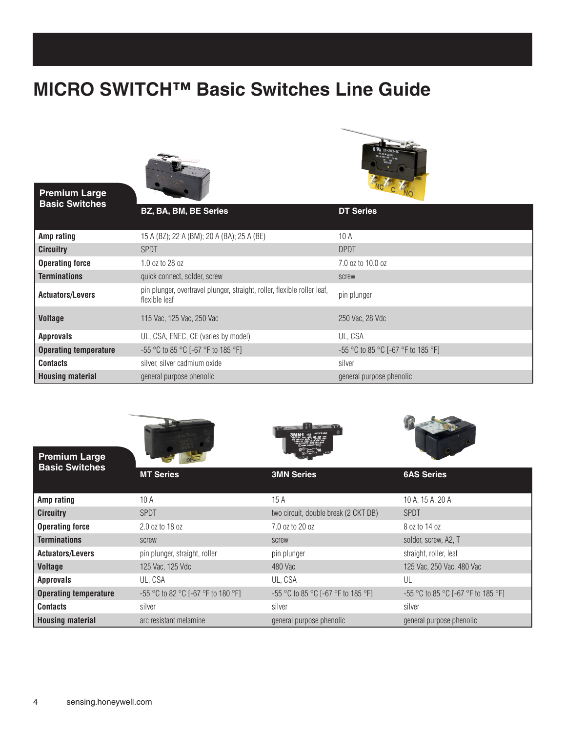### **MICRO SWITCH™ Basic Switches Line Guide**



#### **Premium Large Basic Switches**



| <b>PASIC OWNUTES</b>         | BZ, BA, BM, BE Series                                                                     | <b>DT Series</b>                   |
|------------------------------|-------------------------------------------------------------------------------------------|------------------------------------|
| Amp rating                   | 15 A (BZ); 22 A (BM); 20 A (BA); 25 A (BE)                                                | 10A                                |
| <b>Circuitry</b>             | <b>SPDT</b>                                                                               | <b>DPDT</b>                        |
| <b>Operating force</b>       | 1.0 oz to 28 oz                                                                           | 7.0 oz to 10.0 oz                  |
| <b>Terminations</b>          | quick connect, solder, screw                                                              | screw                              |
| <b>Actuators/Levers</b>      | pin plunger, overtravel plunger, straight, roller, flexible roller leaf,<br>flexible leaf | pin plunger                        |
| <b>Voltage</b>               | 115 Vac. 125 Vac. 250 Vac                                                                 | 250 Vac. 28 Vdc                    |
| <b>Approvals</b>             | UL, CSA, ENEC, CE (varies by model)                                                       | UL, CSA                            |
| <b>Operating temperature</b> | -55 °C to 85 °C [-67 °F to 185 °F]                                                        | -55 °C to 85 °C [-67 °F to 185 °F] |
| <b>Contacts</b>              | silver, silver cadmium oxide                                                              | silver                             |
| <b>Housing material</b>      | general purpose phenolic                                                                  | general purpose phenolic           |

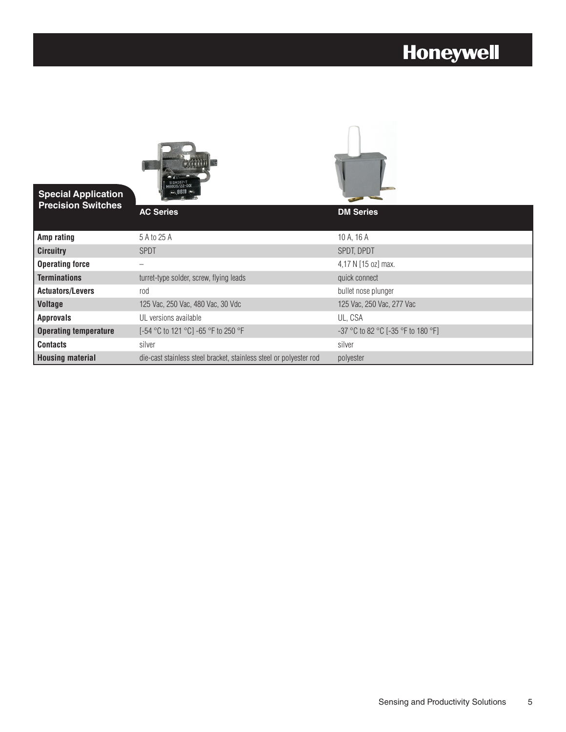## **Honeywell**

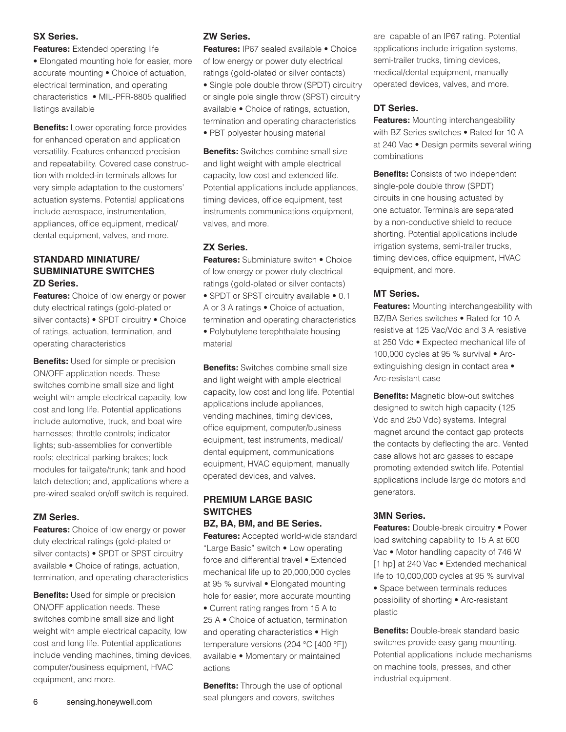#### **SX Series.**

**Features:** Extended operating life • Elongated mounting hole for easier, more accurate mounting • Choice of actuation, electrical termination, and operating characteristics • MIL-PFR-8805 qualified listings available

**Benefits:** Lower operating force provides for enhanced operation and application versatility. Features enhanced precision and repeatability. Covered case construction with molded-in terminals allows for very simple adaptation to the customers' actuation systems. Potential applications include aerospace, instrumentation, appliances, office equipment, medical/ dental equipment, valves, and more.

#### **STANDARD MINIATURE/ SUBMINIATURE SWITCHES ZD Series.**

**Features:** Choice of low energy or power duty electrical ratings (gold-plated or silver contacts) • SPDT circuitry • Choice of ratings, actuation, termination, and operating characteristics

**Benefits:** Used for simple or precision ON/OFF application needs. These switches combine small size and light weight with ample electrical capacity, low cost and long life. Potential applications include automotive, truck, and boat wire harnesses; throttle controls; indicator lights; sub-assemblies for convertible roofs; electrical parking brakes; lock modules for tailgate/trunk; tank and hood latch detection; and, applications where a pre-wired sealed on/off switch is required.

#### **ZM Series.**

**Features:** Choice of low energy or power duty electrical ratings (gold-plated or silver contacts) • SPDT or SPST circuitry available • Choice of ratings, actuation, termination, and operating characteristics

**Benefits:** Used for simple or precision ON/OFF application needs. These switches combine small size and light weight with ample electrical capacity, low cost and long life. Potential applications include vending machines, timing devices, computer/business equipment, HVAC equipment, and more.

#### **ZW Series.**

**Features:** IP67 sealed available • Choice of low energy or power duty electrical ratings (gold-plated or silver contacts) • Single pole double throw (SPDT) circuitry or single pole single throw (SPST) circuitry available • Choice of ratings, actuation, termination and operating characteristics • PBT polyester housing material

**Benefits:** Switches combine small size and light weight with ample electrical capacity, low cost and extended life. Potential applications include appliances, timing devices, office equipment, test instruments communications equipment, valves, and more.

#### **ZX Series.**

**Features:** Subminiature switch • Choice of low energy or power duty electrical ratings (gold-plated or silver contacts) • SPDT or SPST circuitry available • 0.1 A or 3 A ratings • Choice of actuation, termination and operating characteristics • Polybutylene terephthalate housing material

**Benefits:** Switches combine small size and light weight with ample electrical capacity, low cost and long life. Potential applications include appliances, vending machines, timing devices, office equipment, computer/business equipment, test instruments, medical/ dental equipment, communications equipment, HVAC equipment, manually operated devices, and valves.

#### **PREMIUM LARGE BASIC SWITCHES BZ, BA, BM, and BE Series.**

**Features:** Accepted world-wide standard "Large Basic" switch • Low operating

force and differential travel • Extended mechanical life up to 20,000,000 cycles at 95 % survival • Elongated mounting hole for easier, more accurate mounting • Current rating ranges from 15 A to 25 A • Choice of actuation, termination and operating characteristics • High temperature versions (204 °C [400 °F]) available • Momentary or maintained actions

**Benefits:** Through the use of optional seal plungers and covers, switches

are capable of an IP67 rating. Potential applications include irrigation systems, semi-trailer trucks, timing devices, medical/dental equipment, manually operated devices, valves, and more.

#### **DT Series.**

**Features:** Mounting interchangeability with BZ Series switches • Rated for 10 A at 240 Vac • Design permits several wiring combinations

**Benefits:** Consists of two independent single-pole double throw (SPDT) circuits in one housing actuated by one actuator. Terminals are separated by a non-conductive shield to reduce shorting. Potential applications include irrigation systems, semi-trailer trucks, timing devices, office equipment, HVAC equipment, and more.

#### **MT Series.**

**Features:** Mounting interchangeability with BZ/BA Series switches • Rated for 10 A resistive at 125 Vac/Vdc and 3 A resistive at 250 Vdc • Expected mechanical life of 100,000 cycles at 95 % survival • Arcextinguishing design in contact area • Arc-resistant case

**Benefits:** Magnetic blow-out switches designed to switch high capacity (125 Vdc and 250 Vdc) systems. Integral magnet around the contact gap protects the contacts by deflecting the arc. Vented case allows hot arc gasses to escape promoting extended switch life. Potential applications include large dc motors and generators.

#### **3MN Series.**

**Features:** Double-break circuitry • Power load switching capability to 15 A at 600 Vac • Motor handling capacity of 746 W [1 hp] at 240 Vac • Extended mechanical life to 10,000,000 cycles at 95 % survival

• Space between terminals reduces possibility of shorting • Arc-resistant plastic

**Benefits:** Double-break standard basic switches provide easy gang mounting. Potential applications include mechanisms on machine tools, presses, and other industrial equipment.